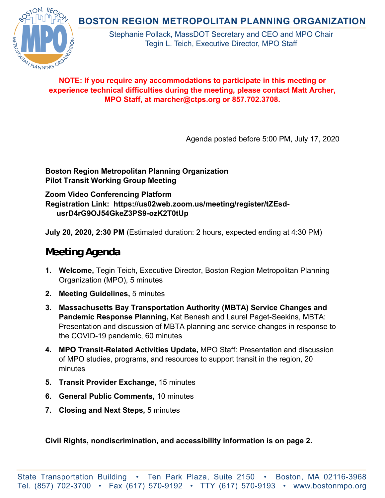**BOSTON REGION METROPOLITAN PLANNING ORGANIZATION** 



Stephanie Pollack, MassDOT Secretary and CEO and MPO Chair Tegin L. Teich, Executive Director, MPO Staff

## **NOTE: If you require any accommodations to participate in this meeting or experience technical difficulties during the meeting, please contact Matt Archer, MPO Staff, at marcher@ctps.org or 857.702.3708.**

Agenda posted before 5:00 PM, July 17, 2020

## **Boston Region Metropolitan Planning Organization Pilot Transit Working Group Meeting**

**Zoom Video Conferencing Platform Registration Link: https://us02web.zoom.us/meeting/register/tZEsdusrD4rG9OJ54GkeZ3PS9-ozK2T0tUp** 

**July 20, 2020, 2:30 PM** (Estimated duration: 2 hours, expected ending at 4:30 PM)

## **Meeting Agenda**

- **1. Welcome,** Tegin Teich, Executive Director, Boston Region Metropolitan Planning Organization (MPO), 5 minutes
- **2. Meeting Guidelines,** 5 minutes
- **3. Massachusetts Bay Transportation Authority (MBTA) Service Changes and Pandemic Response Planning,** Kat Benesh and Laurel Paget-Seekins, MBTA: Presentation and discussion of MBTA planning and service changes in response to the COVID-19 pandemic, 60 minutes
- **4. MPO Transit-Related Activities Update,** MPO Staff: Presentation and discussion of MPO studies, programs, and resources to support transit in the region, 20 minutes
- **5. Transit Provider Exchange,** 15 minutes
- **6. General Public Comments,** 10 minutes
- **7. Closing and Next Steps,** 5 minutes

**Civil Rights, nondiscrimination, and accessibility information is on page 2.**